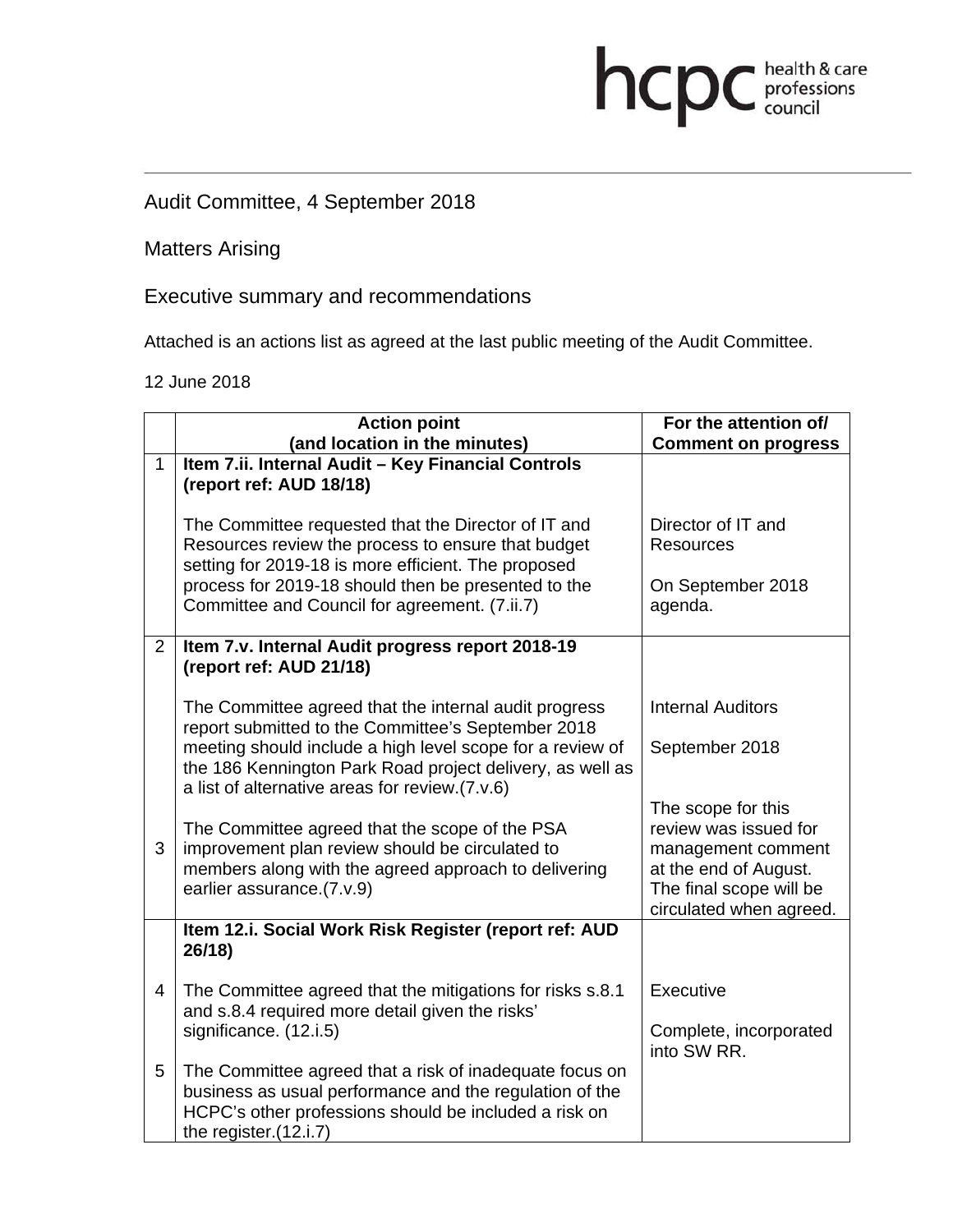# Audit Committee, 4 September 2018

Matters Arising

Executive summary and recommendations

Attached is an actions list as agreed at the last public meeting of the Audit Committee.

hcpc health & care

12 June 2018

|                | <b>Action point</b><br>(and location in the minutes)                                                                                                                                                                                                                                    | For the attention of/<br><b>Comment on progress</b>                                                                                              |
|----------------|-----------------------------------------------------------------------------------------------------------------------------------------------------------------------------------------------------------------------------------------------------------------------------------------|--------------------------------------------------------------------------------------------------------------------------------------------------|
| $\mathbf{1}$   | Item 7.ii. Internal Audit - Key Financial Controls<br>(report ref: AUD 18/18)                                                                                                                                                                                                           |                                                                                                                                                  |
|                | The Committee requested that the Director of IT and<br>Resources review the process to ensure that budget<br>setting for 2019-18 is more efficient. The proposed<br>process for 2019-18 should then be presented to the<br>Committee and Council for agreement. (7.ii.7)                | Director of IT and<br><b>Resources</b><br>On September 2018<br>agenda.                                                                           |
| $\overline{2}$ | Item 7.v. Internal Audit progress report 2018-19<br>(report ref: AUD 21/18)                                                                                                                                                                                                             |                                                                                                                                                  |
|                | The Committee agreed that the internal audit progress<br>report submitted to the Committee's September 2018<br>meeting should include a high level scope for a review of<br>the 186 Kennington Park Road project delivery, as well as<br>a list of alternative areas for review.(7.v.6) | <b>Internal Auditors</b><br>September 2018                                                                                                       |
| 3              | The Committee agreed that the scope of the PSA<br>improvement plan review should be circulated to<br>members along with the agreed approach to delivering<br>earlier assurance.(7.v.9)                                                                                                  | The scope for this<br>review was issued for<br>management comment<br>at the end of August.<br>The final scope will be<br>circulated when agreed. |
|                | Item 12.i. Social Work Risk Register (report ref: AUD<br>26/18)                                                                                                                                                                                                                         |                                                                                                                                                  |
| 4              | The Committee agreed that the mitigations for risks s.8.1<br>and s.8.4 required more detail given the risks'<br>significance. (12.i.5)                                                                                                                                                  | Executive<br>Complete, incorporated<br>into SW RR.                                                                                               |
| 5              | The Committee agreed that a risk of inadequate focus on<br>business as usual performance and the regulation of the<br>HCPC's other professions should be included a risk on<br>the register.(12.i.7)                                                                                    |                                                                                                                                                  |